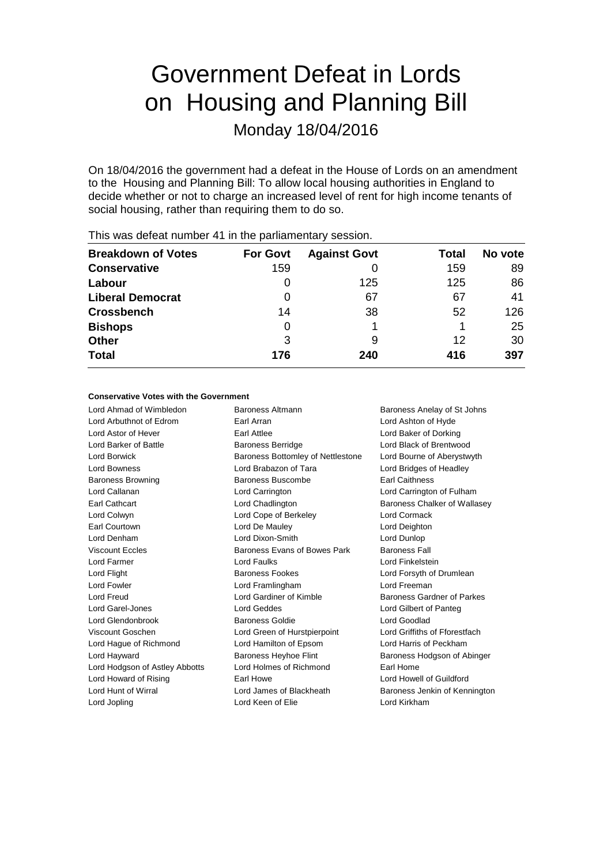# Government Defeat in Lords on Housing and Planning Bill

Monday 18/04/2016

On 18/04/2016 the government had a defeat in the House of Lords on an amendment to the Housing and Planning Bill: To allow local housing authorities in England to decide whether or not to charge an increased level of rent for high income tenants of social housing, rather than requiring them to do so.

| <b>Breakdown of Votes</b> | <b>For Govt</b> | <b>Against Govt</b> | Total | No vote |
|---------------------------|-----------------|---------------------|-------|---------|
| <b>Conservative</b>       | 159             |                     | 159   | 89      |
| Labour                    | $\Omega$        | 125                 | 125   | 86      |
| <b>Liberal Democrat</b>   | 0               | 67                  | 67    | 41      |
| <b>Crossbench</b>         | 14              | 38                  | 52    | 126     |
| <b>Bishops</b>            | 0               |                     |       | 25      |
| <b>Other</b>              | 3               | 9                   | 12    | 30      |
| <b>Total</b>              | 176             | 240                 | 416   | 397     |
|                           |                 |                     |       |         |

This was defeat number 41 in the parliamentary session.

## **Conservative Votes with the Government**

Lord Ahmad of Wimbledon Baroness Altmann Baroness Anelay of St Johns Lord Arbuthnot of Edrom Earl Arran Lord Ashton of Hyde Lord Astor of Hever Earl Attlee Lord Baker of Dorking Lord Barker of Battle **Baroness Berridge Lord Black of Brentwood** Lord Borwick **Baroness Bottomley of Nettlestone** Lord Bourne of Aberystwyth Lord Bowness Lord Brabazon of Tara Lord Bridges of Headley Baroness Browning **Baroness Buscombe** Earl Caithness Lord Callanan Lord Carrington Lord Carrington of Fulham Earl Cathcart Lord Chadlington Baroness Chalker of Wallasey Lord Colwyn Lord Cope of Berkeley Lord Cormack Earl Courtown Lord De Mauley Lord Deighton Lord Denham Lord Dixon-Smith Lord Dunlop Viscount Eccles Baroness Evans of Bowes Park Baroness Fall Lord Farmer Lord Faulks Lord Finkelstein Lord Flight **Baroness Fookes** Lord Forsyth of Drumlean Lord Fowler Lord Framlingham Lord Freeman Lord Freud Lord Gardiner of Kimble Baroness Gardner of Parkes Lord Garel-Jones Lord Geddes Lord Gilbert of Panteg Lord Glendonbrook Baroness Goldie Lord Goodlad Viscount Goschen Lord Green of Hurstpierpoint Lord Griffiths of Fforestfach Lord Hague of Richmond Lord Hamilton of Epsom Lord Harris of Peckham Lord Hayward **Baroness Heyhoe Flint** Baroness Hodgson of Abinger Lord Hodgson of Astley Abbotts Lord Holmes of Richmond Earl Home Lord Howard of Rising **Earl Howe** Earl Howe Lord Howell of Guildford Lord Hunt of Wirral **Lord James of Blackheath** Baroness Jenkin of Kennington

Lord Jopling **Lord Keen of Elie** Lord Keen of Elie Lord Kirkham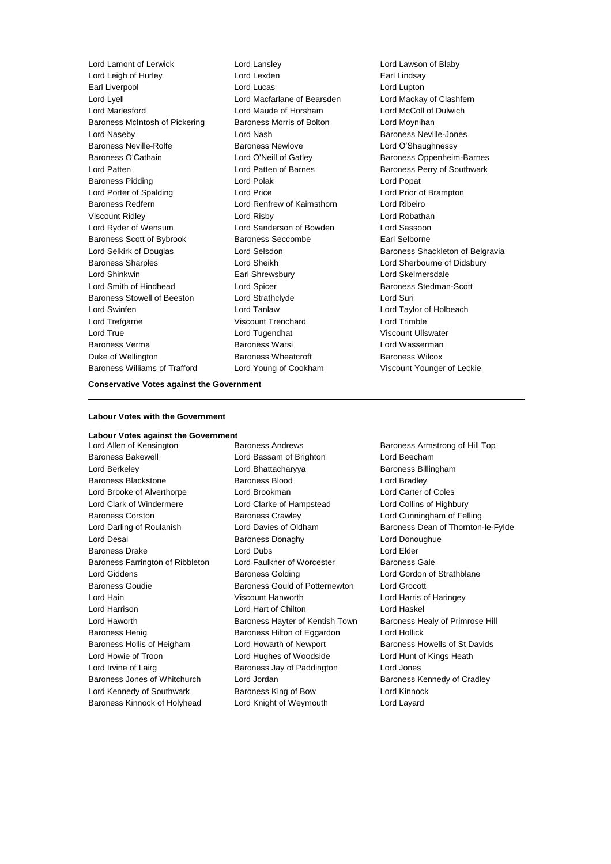Lord Lamont of Lerwick Lord Lansley Lord Lawson of Blaby Lord Leigh of Hurley **Lord Lexden** Earl Lindsay Earl Liverpool Lord Lucas Lord Lupton Lord Lyell Lord Macfarlane of Bearsden Lord Mackay of Clashfern Lord Marlesford Lord Maude of Horsham Lord McColl of Dulwich Baroness McIntosh of Pickering Baroness Morris of Bolton Lord Moynihan Lord Naseby Lord Nash Baroness Neville-Jones Baroness Neville-Rolfe **Baroness Newlove** Baroness Newlove **Lord O'Shaughnessy** Baroness O'Cathain **Lord O'Neill of Gatley** Baroness Oppenheim-Barnes Lord Patten **Lord Patten by Lord Patten of Barnes** Baroness Perry of Southwark Baroness Pidding Lord Polak Lord Popat Lord Porter of Spalding Lord Price Lord Prior of Brampton Baroness Redfern Lord Renfrew of Kaimsthorn Lord Ribeiro Viscount Ridley Lord Risby Lord Robathan Lord Ryder of Wensum Lord Sanderson of Bowden Lord Sassoon Baroness Scott of Bybrook Baroness Seccombe Earl Selborne Lord Selkirk of Douglas **Lord Selsdon** Baroness Shackleton of Belgravia Baroness Sharples Lord Sheikh Lord Sherbourne of Didsbury Lord Shinkwin Earl Shrewsbury Lord Skelmersdale Lord Smith of Hindhead Lord Spicer Controller Baroness Stedman-Scott Baroness Stowell of Beeston Lord Strathclyde Correspondence Lord Suri Lord Swinfen Lord Tanlaw Lord Taylor of Holbeach Lord Trefgarne Viscount Trenchard Lord Trimble Lord True Lord Tugendhat Viscount Ullswater Baroness Verma **Baroness Warsi** Baroness Warsi Lord Wasserman Duke of Wellington Baroness Wheatcroft Baroness Wilcox Baroness Williams of Trafford Lord Young of Cookham Viscount Younger of Leckie

## **Conservative Votes against the Government**

#### **Labour Votes with the Government**

## **Labour Votes against the Government**

Lord Allen of Kensington Baroness Andrews Baroness Armstrong of Hill Top Baroness Bakewell Lord Bassam of Brighton Lord Beecham Lord Berkeley **Lord Bhattacharyya** Baroness Billingham Baroness Blackstone Baroness Blood Lord Bradley Lord Brooke of Alverthorpe Lord Brookman Lord Carter of Coles Lord Clark of Windermere Lord Clarke of Hampstead Lord Collins of Highbury Baroness Corston Baroness Crawley Lord Cunningham of Felling Lord Desai **Baroness Donaghy Lord Donoughue** Baroness Drake Lord Dubs Lord Elder Baroness Farrington of Ribbleton Lord Faulkner of Worcester Baroness Gale Lord Giddens **Baroness Golding** Lord Gordon of Strathblane Baroness Goudie Baroness Gould of Potternewton Lord Grocott Lord Hain Viscount Hanworth Lord Harris of Haringey Lord Harrison Lord Hart of Chilton Lord Haskel Lord Haworth **Baroness Hayter of Kentish Town** Baroness Healy of Primrose Hill Baroness Henig Baroness Hilton of Eggardon Lord Hollick Baroness Hollis of Heigham Lord Howarth of Newport Baroness Howells of St Davids Lord Howie of Troon Lord Hughes of Woodside Lord Hunt of Kings Heath Lord Irvine of Lairg **Baroness Jay of Paddington** Lord Jones Baroness Jones of Whitchurch Lord Jordan Baroness Kennedy of Cradley Lord Kennedy of Southwark **Baroness King of Bow** Lord Kinnock Baroness Kinnock of Holyhead Lord Knight of Weymouth Lord Layard

Lord Darling of Roulanish Lord Davies of Oldham Baroness Dean of Thornton-le-Fylde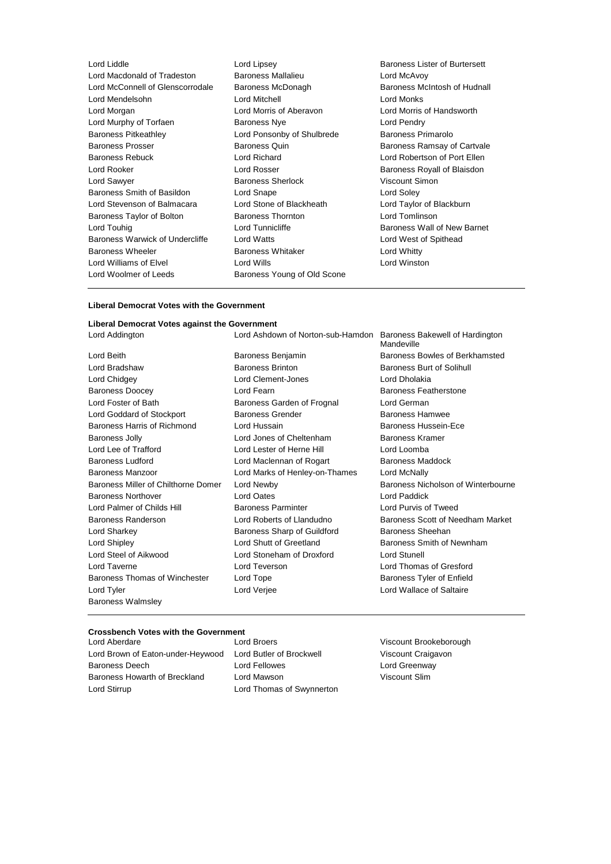| Lord Liddle                      | Lord Lipsey                 | <b>Baroness Lister of Burtersett</b> |
|----------------------------------|-----------------------------|--------------------------------------|
| Lord Macdonald of Tradeston      | Baroness Mallalieu          | Lord McAvoy                          |
| Lord McConnell of Glenscorrodale | Baroness McDonagh           | Baroness McIntosh of Hudnall         |
| Lord Mendelsohn                  | Lord Mitchell               | Lord Monks                           |
| Lord Morgan                      | Lord Morris of Aberavon     | Lord Morris of Handsworth            |
| Lord Murphy of Torfaen           | <b>Baroness Nye</b>         | Lord Pendry                          |
| <b>Baroness Pitkeathley</b>      | Lord Ponsonby of Shulbrede  | Baroness Primarolo                   |
| <b>Baroness Prosser</b>          | Baroness Quin               | Baroness Ramsay of Cartvale          |
| <b>Baroness Rebuck</b>           | Lord Richard                | Lord Robertson of Port Ellen         |
| Lord Rooker                      | Lord Rosser                 | Baroness Royall of Blaisdon          |
| Lord Sawyer                      | Baroness Sherlock           | Viscount Simon                       |
| Baroness Smith of Basildon       | Lord Snape                  | Lord Soley                           |
| Lord Stevenson of Balmacara      | Lord Stone of Blackheath    | Lord Taylor of Blackburn             |
| Baroness Taylor of Bolton        | <b>Baroness Thornton</b>    | Lord Tomlinson                       |
| Lord Touhig                      | Lord Tunnicliffe            | Baroness Wall of New Barnet          |
| Baroness Warwick of Undercliffe  | <b>Lord Watts</b>           | Lord West of Spithead                |
| Baroness Wheeler                 | <b>Baroness Whitaker</b>    | Lord Whitty                          |
| Lord Williams of Elvel           | Lord Wills                  | Lord Winston                         |
| Lord Woolmer of Leeds            | Baroness Young of Old Scone |                                      |
|                                  |                             |                                      |

## **Liberal Democrat Votes with the Government**

## **Liberal Democrat Votes against the Government**

Lord Beith Baroness Benjamin Baroness Bowles of Berkhamsted Lord Bradshaw Baroness Brinton Baroness Burt of Solihull Lord Chidgey Lord Clement-Jones Lord Dholakia Baroness Doocey **Lord Fearn** Lord Fearn Baroness Featherstone Lord Foster of Bath Baroness Garden of Frognal Lord German Lord Goddard of Stockport **Baroness Grender** Baroness Hamwee Baroness Harris of Richmond Lord Hussain **Baroness Hussein-Ece** Baroness Jolly **Lord Jones of Cheltenham** Baroness Kramer Lord Lee of Trafford Lord Lester of Herne Hill Lord Loomba Baroness Ludford Lord Maclennan of Rogart Baroness Maddock Baroness Manzoor Lord Marks of Henley-on-Thames Lord McNally Baroness Miller of Chilthorne Domer Lord Newby Baroness Nicholson of Winterbourne Baroness Northover Lord Oates Lord Paddick Lord Palmer of Childs Hill Baroness Parminter Lord Purvis of Tweed Baroness Randerson Lord Roberts of Llandudno Baroness Scott of Needham Market Lord Sharkey **Baroness Sharp of Guildford** Baroness Sheehan Lord Shipley Lord Shutt of Greetland Baroness Smith of Newnham Lord Steel of Aikwood Lord Stoneham of Droxford Lord Stunell Lord Taverne Lord Teverson Lord Thomas of Gresford Baroness Thomas of Winchester Lord Tope **Baroness Tyler of Enfield** Baroness Tyler of Enfield Lord Tyler Lord Verjee Lord Wallace of Saltaire Baroness Walmsley

Lord Addington Lord Ashdown of Norton-sub-Hamdon Baroness Bakewell of Hardington Mandeville

### **Crossbench Votes with the Government**

Lord Aberdare Lord Broers Viscount Brookeborough Lord Brown of Eaton-under-Heywood Lord Butler of Brockwell Viscount Craigavon Baroness Deech Lord Fellowes Lord Greenway Baroness Howarth of Breckland Lord Mawson Viscount Slim Lord Stirrup **Lord Thomas of Swynnerton**